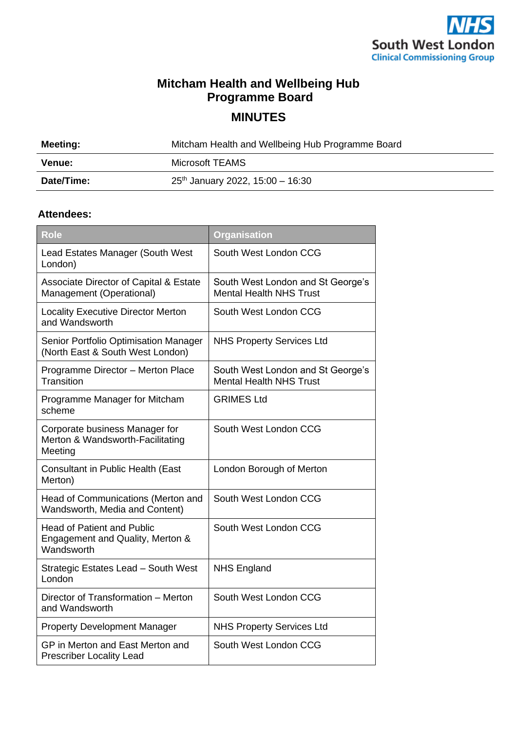

## **Mitcham Health and Wellbeing Hub Programme Board**

**MINUTES**

| Meeting:   | Mitcham Health and Wellbeing Hub Programme Board |
|------------|--------------------------------------------------|
| Venue:     | Microsoft TEAMS                                  |
| Date/Time: | $25th$ January 2022, 15:00 - 16:30               |

## **Attendees:**

| <b>Role</b>                                                                         | <b>Organisation</b>                                                 |
|-------------------------------------------------------------------------------------|---------------------------------------------------------------------|
| Lead Estates Manager (South West<br>London)                                         | South West London CCG                                               |
| <b>Associate Director of Capital &amp; Estate</b><br>Management (Operational)       | South West London and St George's<br><b>Mental Health NHS Trust</b> |
| <b>Locality Executive Director Merton</b><br>and Wandsworth                         | South West London CCG                                               |
| Senior Portfolio Optimisation Manager<br>(North East & South West London)           | <b>NHS Property Services Ltd</b>                                    |
| Programme Director - Merton Place<br>Transition                                     | South West London and St George's<br><b>Mental Health NHS Trust</b> |
| Programme Manager for Mitcham<br>scheme                                             | <b>GRIMES Ltd</b>                                                   |
| Corporate business Manager for<br>Merton & Wandsworth-Facilitating<br>Meeting       | South West London CCG                                               |
| Consultant in Public Health (East<br>Merton)                                        | London Borough of Merton                                            |
| Head of Communications (Merton and<br>Wandsworth, Media and Content)                | South West London CCG                                               |
| <b>Head of Patient and Public</b><br>Engagement and Quality, Merton &<br>Wandsworth | South West London CCG                                               |
| Strategic Estates Lead - South West<br>London                                       | <b>NHS England</b>                                                  |
| Director of Transformation - Merton<br>and Wandsworth                               | South West London CCG                                               |
| <b>Property Development Manager</b>                                                 | <b>NHS Property Services Ltd</b>                                    |
| GP in Merton and East Merton and<br><b>Prescriber Locality Lead</b>                 | South West London CCG                                               |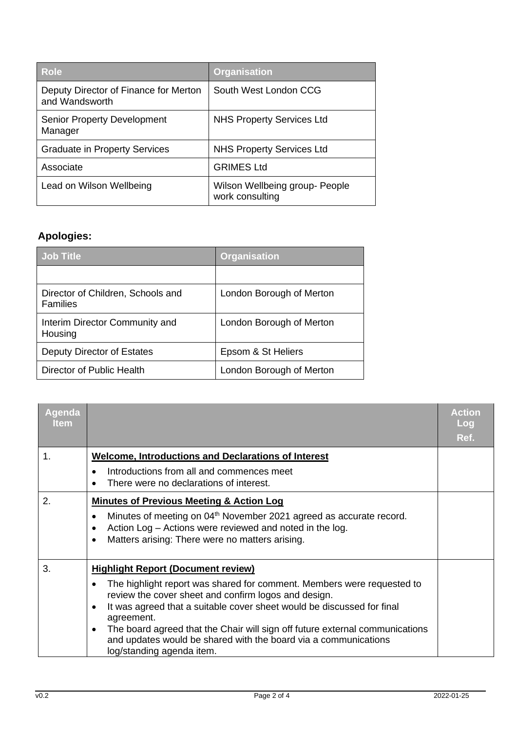| <b>Role</b>                                             | <b>Organisation</b>                               |
|---------------------------------------------------------|---------------------------------------------------|
| Deputy Director of Finance for Merton<br>and Wandsworth | South West London CCG                             |
| <b>Senior Property Development</b><br>Manager           | <b>NHS Property Services Ltd</b>                  |
| <b>Graduate in Property Services</b>                    | <b>NHS Property Services Ltd</b>                  |
| Associate                                               | <b>GRIMES Ltd</b>                                 |
| Lead on Wilson Wellbeing                                | Wilson Wellbeing group- People<br>work consulting |

## **Apologies:**

| <b>Job Title</b>                                     | <b>Organisation</b>      |
|------------------------------------------------------|--------------------------|
|                                                      |                          |
| Director of Children, Schools and<br><b>Families</b> | London Borough of Merton |
| Interim Director Community and<br>Housing            | London Borough of Merton |
| Deputy Director of Estates                           | Epsom & St Heliers       |
| Director of Public Health                            | London Borough of Merton |

| Agenda<br><b>Item</b> |                                                                                                                                                                                                                                                                                                                                  | <b>Action</b><br>Log<br>Ref. |
|-----------------------|----------------------------------------------------------------------------------------------------------------------------------------------------------------------------------------------------------------------------------------------------------------------------------------------------------------------------------|------------------------------|
| 1.                    | <b>Welcome, Introductions and Declarations of Interest</b>                                                                                                                                                                                                                                                                       |                              |
|                       | Introductions from all and commences meet<br>There were no declarations of interest.                                                                                                                                                                                                                                             |                              |
| 2.                    | <b>Minutes of Previous Meeting &amp; Action Log</b>                                                                                                                                                                                                                                                                              |                              |
|                       | Minutes of meeting on 04 <sup>th</sup> November 2021 agreed as accurate record.<br>$\bullet$<br>Action Log - Actions were reviewed and noted in the log.<br>٠<br>Matters arising: There were no matters arising.<br>٠                                                                                                            |                              |
| 3.                    | <b>Highlight Report (Document review)</b>                                                                                                                                                                                                                                                                                        |                              |
|                       | The highlight report was shared for comment. Members were requested to<br>review the cover sheet and confirm logos and design.<br>It was agreed that a suitable cover sheet would be discussed for final<br>$\bullet$<br>agreement.<br>The board agreed that the Chair will sign off future external communications<br>$\bullet$ |                              |
|                       | and updates would be shared with the board via a communications<br>log/standing agenda item.                                                                                                                                                                                                                                     |                              |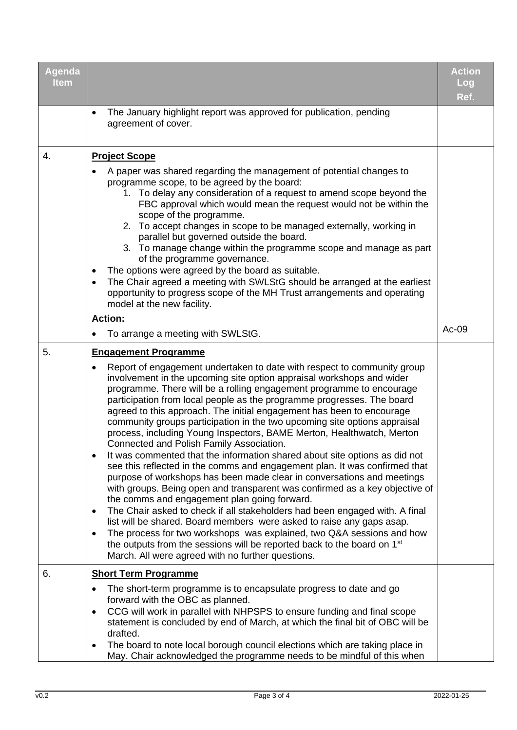| Agenda<br><b>Item</b> |                                                                                                                                                                                                                                                                                                                                                                                                                                                                                                                                                                                                                                                                                                                                                                                                                                                                                                                                                                                                                                                                                                                                                                                                                                                                                                                                                                                  | <b>Action</b><br>Log<br>Ref. |
|-----------------------|----------------------------------------------------------------------------------------------------------------------------------------------------------------------------------------------------------------------------------------------------------------------------------------------------------------------------------------------------------------------------------------------------------------------------------------------------------------------------------------------------------------------------------------------------------------------------------------------------------------------------------------------------------------------------------------------------------------------------------------------------------------------------------------------------------------------------------------------------------------------------------------------------------------------------------------------------------------------------------------------------------------------------------------------------------------------------------------------------------------------------------------------------------------------------------------------------------------------------------------------------------------------------------------------------------------------------------------------------------------------------------|------------------------------|
|                       | The January highlight report was approved for publication, pending<br>$\bullet$<br>agreement of cover.                                                                                                                                                                                                                                                                                                                                                                                                                                                                                                                                                                                                                                                                                                                                                                                                                                                                                                                                                                                                                                                                                                                                                                                                                                                                           |                              |
| 4.                    | <b>Project Scope</b><br>A paper was shared regarding the management of potential changes to<br>programme scope, to be agreed by the board:<br>1. To delay any consideration of a request to amend scope beyond the<br>FBC approval which would mean the request would not be within the<br>scope of the programme.<br>2. To accept changes in scope to be managed externally, working in<br>parallel but governed outside the board.<br>3. To manage change within the programme scope and manage as part<br>of the programme governance.<br>The options were agreed by the board as suitable.<br>The Chair agreed a meeting with SWLStG should be arranged at the earliest<br>$\bullet$<br>opportunity to progress scope of the MH Trust arrangements and operating<br>model at the new facility.<br><b>Action:</b>                                                                                                                                                                                                                                                                                                                                                                                                                                                                                                                                                             |                              |
|                       | To arrange a meeting with SWLStG.<br>٠                                                                                                                                                                                                                                                                                                                                                                                                                                                                                                                                                                                                                                                                                                                                                                                                                                                                                                                                                                                                                                                                                                                                                                                                                                                                                                                                           | Ac-09                        |
| 5.                    | <b>Engagement Programme</b><br>Report of engagement undertaken to date with respect to community group<br>involvement in the upcoming site option appraisal workshops and wider<br>programme. There will be a rolling engagement programme to encourage<br>participation from local people as the programme progresses. The board<br>agreed to this approach. The initial engagement has been to encourage<br>community groups participation in the two upcoming site options appraisal<br>process, including Young Inspectors, BAME Merton, Healthwatch, Merton<br>Connected and Polish Family Association.<br>It was commented that the information shared about site options as did not<br>see this reflected in the comms and engagement plan. It was confirmed that<br>purpose of workshops has been made clear in conversations and meetings<br>with groups. Being open and transparent was confirmed as a key objective of<br>the comms and engagement plan going forward.<br>The Chair asked to check if all stakeholders had been engaged with. A final<br>$\bullet$<br>list will be shared. Board members were asked to raise any gaps asap.<br>The process for two workshops was explained, two Q&A sessions and how<br>٠<br>the outputs from the sessions will be reported back to the board on 1 <sup>st</sup><br>March. All were agreed with no further questions. |                              |
| 6.                    | <b>Short Term Programme</b>                                                                                                                                                                                                                                                                                                                                                                                                                                                                                                                                                                                                                                                                                                                                                                                                                                                                                                                                                                                                                                                                                                                                                                                                                                                                                                                                                      |                              |
|                       | The short-term programme is to encapsulate progress to date and go<br>$\bullet$<br>forward with the OBC as planned.<br>CCG will work in parallel with NHPSPS to ensure funding and final scope<br>٠<br>statement is concluded by end of March, at which the final bit of OBC will be<br>drafted.<br>The board to note local borough council elections which are taking place in<br>May. Chair acknowledged the programme needs to be mindful of this when                                                                                                                                                                                                                                                                                                                                                                                                                                                                                                                                                                                                                                                                                                                                                                                                                                                                                                                        |                              |